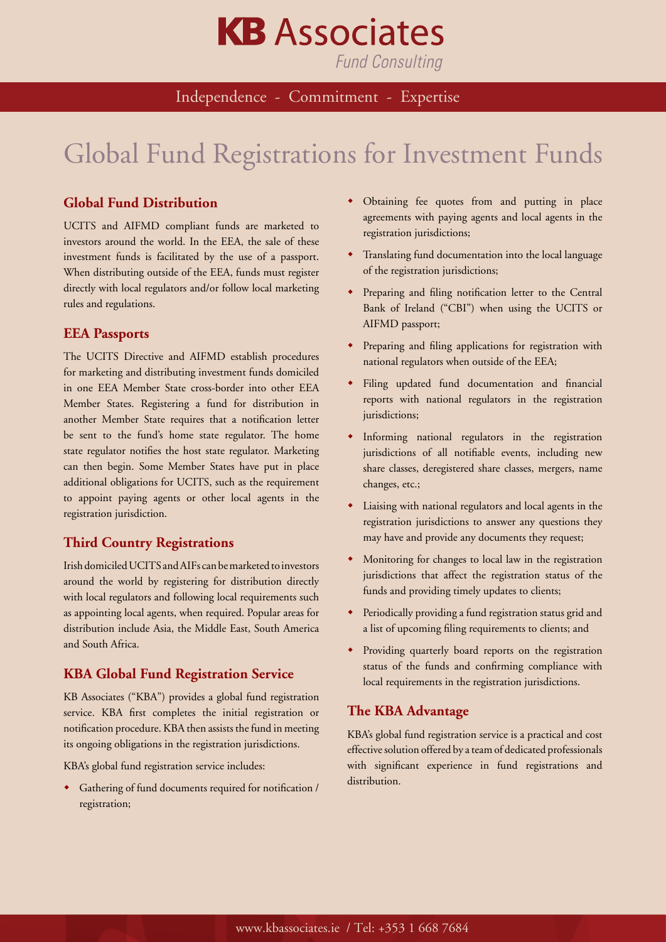# **KB** Associates

**Fund Consulting** 

### Independence - Commitment - Expertise

## Global Fund Registrations for Investment Funds

#### **Global Fund Distribution**

UCITS and AIFMD compliant funds are marketed to investors around the world. In the EEA, the sale of these investment funds is facilitated by the use of a passport. When distributing outside of the EEA, funds must register directly with local regulators and/or follow local marketing rules and regulations.

#### **EEA Passports**

The UCITS Directive and AIFMD establish procedures for marketing and distributing investment funds domiciled in one EEA Member State cross-border into other EEA Member States. Registering a fund for distribution in another Member State requires that a notification letter be sent to the fund's home state regulator. The home state regulator notifies the host state regulator. Marketing can then begin. Some Member States have put in place additional obligations for UCITS, such as the requirement to appoint paying agents or other local agents in the registration jurisdiction.

#### **Third Country Registrations**

Irish domiciled UCITS and AIFs can be marketed to investors around the world by registering for distribution directly with local regulators and following local requirements such as appointing local agents, when required. Popular areas for distribution include Asia, the Middle East, South America and South Africa.

#### **KBA Global Fund Registration Service**

KB Associates ("KBA") provides a global fund registration service. KBA first completes the initial registration or notification procedure. KBA then assists the fund in meeting its ongoing obligations in the registration jurisdictions.

KBA's global fund registration service includes:

Gathering of fund documents required for notification / registration;

- Obtaining fee quotes from and putting in place agreements with paying agents and local agents in the registration jurisdictions;
- Translating fund documentation into the local language of the registration jurisdictions;
- Preparing and filing notification letter to the Central Bank of Ireland ("CBI") when using the UCITS or AIFMD passport;
- Preparing and filing applications for registration with national regulators when outside of the EEA;
- Filing updated fund documentation and financial reports with national regulators in the registration jurisdictions;
- $\bullet$  Informing national regulators in the registration jurisdictions of all notifiable events, including new share classes, deregistered share classes, mergers, name changes, etc.;
- $\bullet$  Liaising with national regulators and local agents in the registration jurisdictions to answer any questions they may have and provide any documents they request;
- $\bullet$  Monitoring for changes to local law in the registration jurisdictions that affect the registration status of the funds and providing timely updates to clients;
- Periodically providing a fund registration status grid and a list of upcoming filing requirements to clients; and
- Providing quarterly board reports on the registration status of the funds and confirming compliance with local requirements in the registration jurisdictions.

#### **The KBA Advantage**

KBA's global fund registration service is a practical and cost effective solution offered by a team of dedicated professionals with significant experience in fund registrations and distribution.